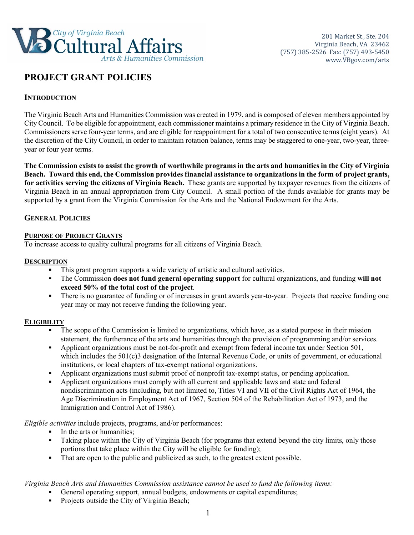

# **PROJECT GRANT POLICIES**

# **INTRODUCTION**

The Virginia Beach Arts and Humanities Commission was created in 1979, and is composed of eleven members appointed by City Council. To be eligible for appointment, each commissioner maintains a primary residence in the City of Virginia Beach. Commissioners serve four-year terms, and are eligible for reappointment for a total of two consecutive terms (eight years). At the discretion of the City Council, in order to maintain rotation balance, terms may be staggered to one-year, two-year, threeyear or four year terms.

**The Commission exists to assist the growth of worthwhile programs in the arts and humanities in the City of Virginia Beach. Toward this end, the Commission provides financial assistance to organizations in the form of project grants, for activities serving the citizens of Virginia Beach.** These grants are supported by taxpayer revenues from the citizens of Virginia Beach in an annual appropriation from City Council. A small portion of the funds available for grants may be supported by a grant from the Virginia Commission for the Arts and the National Endowment for the Arts.

# **GENERAL POLICIES**

## **PURPOSE OF PROJECT GRANTS**

To increase access to quality cultural programs for all citizens of Virginia Beach.

## **DESCRIPTION**

- This grant program supports a wide variety of artistic and cultural activities.
- The Commission **does not fund general operating support** for cultural organizations, and funding **will not exceed 50% of the total cost of the project**.
- There is no guarantee of funding or of increases in grant awards year-to-year. Projects that receive funding one year may or may not receive funding the following year.

### **ELIGIBILITY**

- The scope of the Commission is limited to organizations, which have, as a stated purpose in their mission statement, the furtherance of the arts and humanities through the provision of programming and/or services.
- Applicant organizations must be not-for-profit and exempt from federal income tax under Section 501, which includes the 501(c)3 designation of the Internal Revenue Code, or units of government, or educational institutions, or local chapters of tax-exempt national organizations.
- Applicant organizations must submit proof of nonprofit tax-exempt status, or pending application.
- Applicant organizations must comply with all current and applicable laws and state and federal nondiscrimination acts (including, but not limited to, Titles VI and VII of the Civil Rights Act of 1964, the Age Discrimination in Employment Act of 1967, Section 504 of the Rehabilitation Act of 1973, and the Immigration and Control Act of 1986).

*Eligible activities* include projects, programs, and/or performances:

- In the arts or humanities;
- Taking place within the City of Virginia Beach (for programs that extend beyond the city limits, only those portions that take place within the City will be eligible for funding);
- That are open to the public and publicized as such, to the greatest extent possible.

*Virginia Beach Arts and Humanities Commission assistance cannot be used to fund the following items:*

- General operating support, annual budgets, endowments or capital expenditures;
- **Projects outside the City of Virginia Beach;**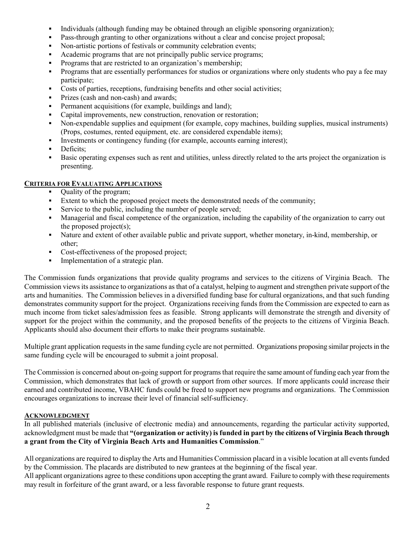- Individuals (although funding may be obtained through an eligible sponsoring organization);
- Pass-through granting to other organizations without a clear and concise project proposal;
- Non-artistic portions of festivals or community celebration events;
- Academic programs that are not principally public service programs;
- **Programs that are restricted to an organization's membership;**
- Programs that are essentially performances for studios or organizations where only students who pay a fee may participate;
- Costs of parties, receptions, fundraising benefits and other social activities;
- **Prizes (cash and non-cash) and awards;**
- Permanent acquisitions (for example, buildings and land);
- Capital improvements, new construction, renovation or restoration;
- Non-expendable supplies and equipment (for example, copy machines, building supplies, musical instruments) (Props, costumes, rented equipment, etc. are considered expendable items);
- Investments or contingency funding (for example, accounts earning interest);
- Deficits;
- Basic operating expenses such as rent and utilities, unless directly related to the arts project the organization is presenting.

### **CRITERIA FOR EVALUATING APPLICATIONS**

- Quality of the program;
- Extent to which the proposed project meets the demonstrated needs of the community;
- Service to the public, including the number of people served;
- Managerial and fiscal competence of the organization, including the capability of the organization to carry out the proposed project(s);
- Nature and extent of other available public and private support, whether monetary, in-kind, membership, or other;
- Cost-effectiveness of the proposed project;
- Implementation of a strategic plan.

The Commission funds organizations that provide quality programs and services to the citizens of Virginia Beach. The Commission views its assistance to organizations as that of a catalyst, helping to augment and strengthen private support of the arts and humanities. The Commission believes in a diversified funding base for cultural organizations, and that such funding demonstrates community support for the project. Organizations receiving funds from the Commission are expected to earn as much income from ticket sales/admission fees as feasible. Strong applicants will demonstrate the strength and diversity of support for the project within the community, and the proposed benefits of the projects to the citizens of Virginia Beach. Applicants should also document their efforts to make their programs sustainable.

Multiple grant application requests in the same funding cycle are not permitted. Organizations proposing similar projects in the same funding cycle will be encouraged to submit a joint proposal.

The Commission is concerned about on-going support for programs that require the same amount of funding each year from the Commission, which demonstrates that lack of growth or support from other sources. If more applicants could increase their earned and contributed income, VBAHC funds could be freed to support new programs and organizations. The Commission encourages organizations to increase their level of financial self-sufficiency.

## **ACKNOWLEDGMENT**

In all published materials (inclusive of electronic media) and announcements, regarding the particular activity supported, acknowledgment must be made that **"(organization or activity) is funded in part by the citizens of Virginia Beach through a grant from the City of Virginia Beach Arts and Humanities Commission**."

All organizations are required to display the Arts and Humanities Commission placard in a visible location at all events funded by the Commission. The placards are distributed to new grantees at the beginning of the fiscal year.

All applicant organizations agree to these conditions upon accepting the grant award. Failure to comply with these requirements may result in forfeiture of the grant award, or a less favorable response to future grant requests.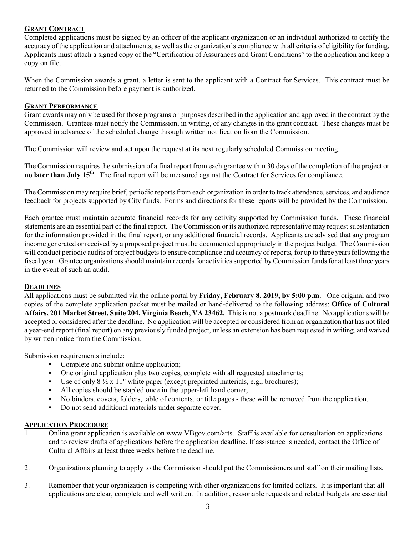## **GRANT CONTRACT**

Completed applications must be signed by an officer of the applicant organization or an individual authorized to certify the accuracy of the application and attachments, as well as the organization's compliance with all criteria of eligibility for funding. Applicants must attach a signed copy of the "Certification of Assurances and Grant Conditions" to the application and keep a copy on file.

When the Commission awards a grant, a letter is sent to the applicant with a Contract for Services. This contract must be returned to the Commission before payment is authorized.

## **GRANT PERFORMANCE**

Grant awards may only be used for those programs or purposes described in the application and approved in the contract by the Commission. Grantees must notify the Commission, in writing, of any changes in the grant contract. These changes must be approved in advance of the scheduled change through written notification from the Commission.

The Commission will review and act upon the request at its next regularly scheduled Commission meeting.

The Commission requires the submission of a final report from each grantee within 30 days of the completion of the project or **no later than July 15th**. The final report will be measured against the Contract for Services for compliance.

The Commission may require brief, periodic reports from each organization in order to track attendance, services, and audience feedback for projects supported by City funds. Forms and directions for these reports will be provided by the Commission.

Each grantee must maintain accurate financial records for any activity supported by Commission funds. These financial statements are an essential part of the final report. The Commission or its authorized representative may request substantiation for the information provided in the final report, or any additional financial records. Applicants are advised that any program income generated or received by a proposed project must be documented appropriately in the project budget. The Commission will conduct periodic audits of project budgets to ensure compliance and accuracy of reports, for up to three years following the fiscal year. Grantee organizations should maintain records for activities supported by Commission funds for at least three years in the event of such an audit.

### **DEADLINES**

All applications must be submitted via the online portal by **Friday, February 8, 2019, by 5:00 p.m**. One original and two copies of the complete application packet must be mailed or hand-delivered to the following address: **Office of Cultural Affairs, 201 Market Street, Suite 204, Virginia Beach, VA 23462.** This is not a postmark deadline. No applications will be accepted or considered after the deadline. No application will be accepted or considered from an organization that has not filed a year-end report (final report) on any previously funded project, unless an extension has been requested in writing, and waived by written notice from the Commission.

Submission requirements include:

- Complete and submit online application;
- One original application plus two copies, complete with all requested attachments;
- Use of only  $8\frac{1}{2}$  x 11" white paper (except preprinted materials, e.g., brochures);
- All copies should be stapled once in the upper-left hand corner;
- No binders, covers, folders, table of contents, or title pages these will be removed from the application.
- Do not send additional materials under separate cover.

## **APPLICATION PROCEDURE**

- 1. Online grant application is available on www.VBgov.com/arts. Staff is available for consultation on applications and to review drafts of applications before the application deadline. If assistance is needed, contact the Office of Cultural Affairs at least three weeks before the deadline.
- 2. Organizations planning to apply to the Commission should put the Commissioners and staff on their mailing lists.
- 3. Remember that your organization is competing with other organizations for limited dollars. It is important that all applications are clear, complete and well written. In addition, reasonable requests and related budgets are essential